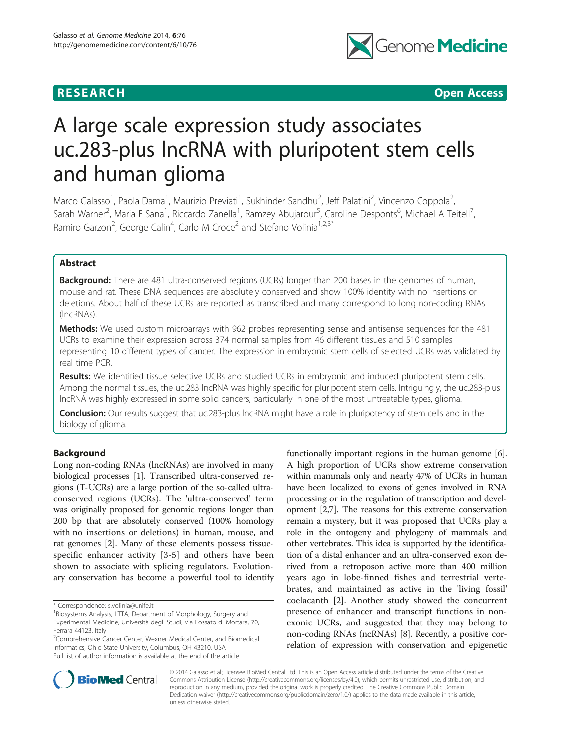



# A large scale expression study associates uc.283-plus lncRNA with pluripotent stem cells and human glioma

Marco Galasso<sup>1</sup>, Paola Dama<sup>1</sup>, Maurizio Previati<sup>1</sup>, Sukhinder Sandhu<sup>2</sup>, Jeff Palatini<sup>2</sup>, Vincenzo Coppola<sup>2</sup> .<br>, Sarah Warner<sup>2</sup>, Maria E Sana<sup>1</sup>, Riccardo Zanella<sup>1</sup>, Ramzey Abujarour<sup>5</sup>, Caroline Desponts<sup>6</sup>, Michael A Teitell<sup>7</sup> , Ramiro Garzon<sup>2</sup>, George Calin<sup>4</sup>, Carlo M Croce<sup>2</sup> and Stefano Volinia<sup>1,2,3\*</sup>

# Abstract

**Background:** There are 481 ultra-conserved regions (UCRs) longer than 200 bases in the genomes of human, mouse and rat. These DNA sequences are absolutely conserved and show 100% identity with no insertions or deletions. About half of these UCRs are reported as transcribed and many correspond to long non-coding RNAs (lncRNAs).

Methods: We used custom microarrays with 962 probes representing sense and antisense sequences for the 481 UCRs to examine their expression across 374 normal samples from 46 different tissues and 510 samples representing 10 different types of cancer. The expression in embryonic stem cells of selected UCRs was validated by real time PCR.

Results: We identified tissue selective UCRs and studied UCRs in embryonic and induced pluripotent stem cells. Among the normal tissues, the uc.283 lncRNA was highly specific for pluripotent stem cells. Intriguingly, the uc.283-plus lncRNA was highly expressed in some solid cancers, particularly in one of the most untreatable types, glioma.

Conclusion: Our results suggest that uc.283-plus lncRNA might have a role in pluripotency of stem cells and in the biology of glioma.

## Background

Long non-coding RNAs (lncRNAs) are involved in many biological processes [[1\]](#page-6-0). Transcribed ultra-conserved regions (T-UCRs) are a large portion of the so-called ultraconserved regions (UCRs). The 'ultra-conserved' term was originally proposed for genomic regions longer than 200 bp that are absolutely conserved (100% homology with no insertions or deletions) in human, mouse, and rat genomes [\[2](#page-6-0)]. Many of these elements possess tissuespecific enhancer activity [[3-5\]](#page-6-0) and others have been shown to associate with splicing regulators. Evolutionary conservation has become a powerful tool to identify

<sup>2</sup> Comprehensive Cancer Center, Wexner Medical Center, and Biomedical Informatics, Ohio State University, Columbus, OH 43210, USA Full list of author information is available at the end of the article

functionally important regions in the human genome [[6](#page-6-0)]. A high proportion of UCRs show extreme conservation within mammals only and nearly 47% of UCRs in human have been localized to exons of genes involved in RNA processing or in the regulation of transcription and development [[2](#page-6-0),[7](#page-6-0)]. The reasons for this extreme conservation remain a mystery, but it was proposed that UCRs play a role in the ontogeny and phylogeny of mammals and other vertebrates. This idea is supported by the identification of a distal enhancer and an ultra-conserved exon derived from a retroposon active more than 400 million years ago in lobe-finned fishes and terrestrial vertebrates, and maintained as active in the 'living fossil' coelacanth [\[2](#page-6-0)]. Another study showed the concurrent presence of enhancer and transcript functions in nonexonic UCRs, and suggested that they may belong to non-coding RNAs (ncRNAs) [[8\]](#page-6-0). Recently, a positive correlation of expression with conservation and epigenetic



© 2014 Galasso et al.; licensee BioMed Central Ltd. This is an Open Access article distributed under the terms of the Creative Commons Attribution License [\(http://creativecommons.org/licenses/by/4.0\)](http://creativecommons.org/licenses/by/4.0), which permits unrestricted use, distribution, and reproduction in any medium, provided the original work is properly credited. The Creative Commons Public Domain Dedication waiver [\(http://creativecommons.org/publicdomain/zero/1.0/](http://creativecommons.org/publicdomain/zero/1.0/)) applies to the data made available in this article, unless otherwise stated.

<sup>\*</sup> Correspondence: [s.volinia@unife.it](mailto:s.volinia@unife.it) <sup>1</sup>

<sup>&</sup>lt;sup>1</sup>Biosystems Analysis, LTTA, Department of Morphology, Surgery and Experimental Medicine, Università degli Studi, Via Fossato di Mortara, 70, Ferrara 44123, Italy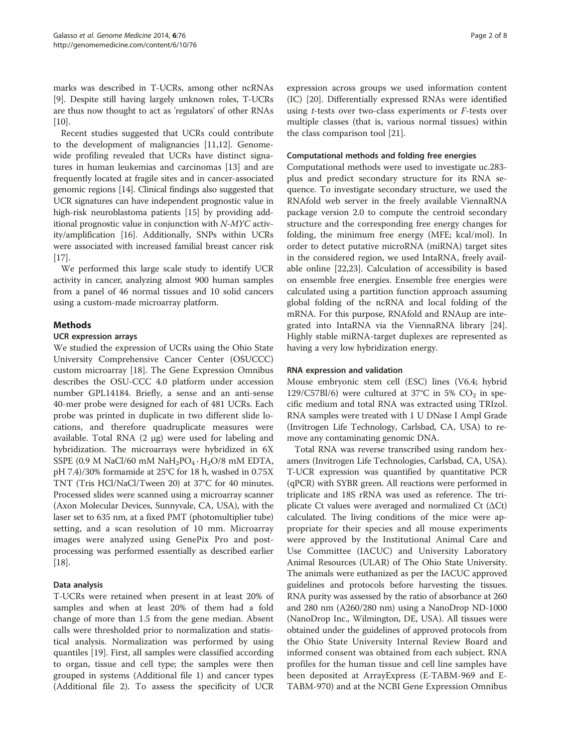marks was described in T-UCRs, among other ncRNAs [[9\]](#page-6-0). Despite still having largely unknown roles, T-UCRs are thus now thought to act as 'regulators' of other RNAs [[10](#page-6-0)].

Recent studies suggested that UCRs could contribute to the development of malignancies [[11,12\]](#page-6-0). Genomewide profiling revealed that UCRs have distinct signatures in human leukemias and carcinomas [\[13](#page-6-0)] and are frequently located at fragile sites and in cancer-associated genomic regions [[14\]](#page-6-0). Clinical findings also suggested that UCR signatures can have independent prognostic value in high-risk neuroblastoma patients [\[15\]](#page-6-0) by providing additional prognostic value in conjunction with N-MYC activity/amplification [\[16\]](#page-6-0). Additionally, SNPs within UCRs were associated with increased familial breast cancer risk [[17](#page-6-0)].

We performed this large scale study to identify UCR activity in cancer, analyzing almost 900 human samples from a panel of 46 normal tissues and 10 solid cancers using a custom-made microarray platform.

## Methods

## UCR expression arrays

We studied the expression of UCRs using the Ohio State University Comprehensive Cancer Center (OSUCCC) custom microarray [\[18](#page-6-0)]. The Gene Expression Omnibus describes the OSU-CCC 4.0 platform under accession number GPL14184. Briefly, a sense and an anti-sense 40-mer probe were designed for each of 481 UCRs. Each probe was printed in duplicate in two different slide locations, and therefore quadruplicate measures were available. Total RNA (2 μg) were used for labeling and hybridization. The microarrays were hybridized in 6X SSPE (0.9 M NaCl/60 mM NaH<sub>2</sub>PO<sub>4</sub>  $\cdot$  H<sub>2</sub>O/8 mM EDTA, pH 7.4)/30% formamide at 25°C for 18 h, washed in 0.75X TNT (Tris HCl/NaCl/Tween 20) at 37°C for 40 minutes. Processed slides were scanned using a microarray scanner (Axon Molecular Devices, Sunnyvale, CA, USA), with the laser set to 635 nm, at a fixed PMT (photomultiplier tube) setting, and a scan resolution of 10 mm. Microarray images were analyzed using GenePix Pro and postprocessing was performed essentially as described earlier [[18](#page-6-0)].

## Data analysis

T-UCRs were retained when present in at least 20% of samples and when at least 20% of them had a fold change of more than 1.5 from the gene median. Absent calls were thresholded prior to normalization and statistical analysis. Normalization was performed by using quantiles [[19](#page-6-0)]. First, all samples were classified according to organ, tissue and cell type; the samples were then grouped in systems (Additional file [1\)](#page-5-0) and cancer types (Additional file [2](#page-5-0)). To assess the specificity of UCR expression across groups we used information content (IC) [\[20](#page-6-0)]. Differentially expressed RNAs were identified using t-tests over two-class experiments or F-tests over multiple classes (that is, various normal tissues) within the class comparison tool [\[21](#page-6-0)].

## Computational methods and folding free energies

Computational methods were used to investigate uc.283 plus and predict secondary structure for its RNA sequence. To investigate secondary structure, we used the RNAfold web server in the freely available ViennaRNA package version 2.0 to compute the centroid secondary structure and the corresponding free energy changes for folding, the minimum free energy (MFE; kcal/mol). In order to detect putative microRNA (miRNA) target sites in the considered region, we used IntaRNA, freely available online [\[22,23](#page-6-0)]. Calculation of accessibility is based on ensemble free energies. Ensemble free energies were calculated using a partition function approach assuming global folding of the ncRNA and local folding of the mRNA. For this purpose, RNAfold and RNAup are integrated into IntaRNA via the ViennaRNA library [\[24](#page-6-0)]. Highly stable miRNA-target duplexes are represented as having a very low hybridization energy.

## RNA expression and validation

Mouse embryonic stem cell (ESC) lines (V6.4; hybrid 129/C57Bl/6) were cultured at 37°C in 5%  $CO<sub>2</sub>$  in specific medium and total RNA was extracted using TRIzol. RNA samples were treated with 1 U DNase I Ampl Grade (Invitrogen Life Technology, Carlsbad, CA, USA) to remove any contaminating genomic DNA.

Total RNA was reverse transcribed using random hexamers (Invitrogen Life Technologies, Carlsbad, CA, USA). T-UCR expression was quantified by quantitative PCR (qPCR) with SYBR green. All reactions were performed in triplicate and 18S rRNA was used as reference. The triplicate Ct values were averaged and normalized Ct (ΔCt) calculated. The living conditions of the mice were appropriate for their species and all mouse experiments were approved by the Institutional Animal Care and Use Committee (IACUC) and University Laboratory Animal Resources (ULAR) of The Ohio State University. The animals were euthanized as per the IACUC approved guidelines and protocols before harvesting the tissues. RNA purity was assessed by the ratio of absorbance at 260 and 280 nm (A260/280 nm) using a NanoDrop ND-1000 (NanoDrop Inc., Wilmington, DE, USA). All tissues were obtained under the guidelines of approved protocols from the Ohio State University Internal Review Board and informed consent was obtained from each subject. RNA profiles for the human tissue and cell line samples have been deposited at ArrayExpress (E-TABM-969 and E-TABM-970) and at the NCBI Gene Expression Omnibus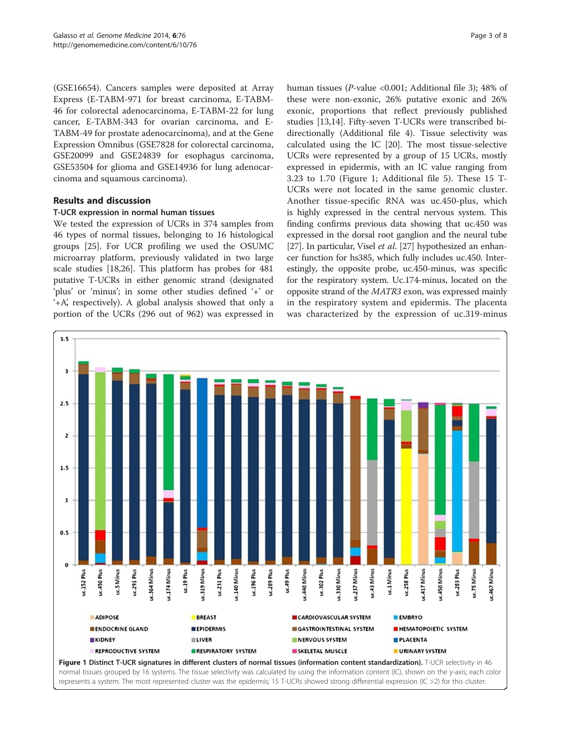(GSE16654). Cancers samples were deposited at Array Express (E-TABM-971 for breast carcinoma, E-TABM-46 for colorectal adenocarcinoma, E-TABM-22 for lung cancer, E-TABM-343 for ovarian carcinoma, and E-TABM-49 for prostate adenocarcinoma), and at the Gene Expression Omnibus (GSE7828 for colorectal carcinoma, GSE20099 and GSE24839 for esophagus carcinoma, GSE53504 for glioma and GSE14936 for lung adenocarcinoma and squamous carcinoma).

## Results and discussion

#### T-UCR expression in normal human tissues

We tested the expression of UCRs in 374 samples from 46 types of normal tissues, belonging to 16 histological groups [[25\]](#page-6-0). For UCR profiling we used the OSUMC microarray platform, previously validated in two large scale studies [\[18,26](#page-6-0)]. This platform has probes for 481 putative T-UCRs in either genomic strand (designated 'plus' or 'minus'; in some other studies defined '+' or '+A', respectively). A global analysis showed that only a portion of the UCRs (296 out of 962) was expressed in

human tissues (P-value <0.001; Additional file [3](#page-5-0)); 48% of these were non-exonic, 26% putative exonic and 26% exonic, proportions that reflect previously published studies [[13,14](#page-6-0)]. Fifty-seven T-UCRs were transcribed bidirectionally (Additional file [4](#page-5-0)). Tissue selectivity was calculated using the IC [\[20\]](#page-6-0). The most tissue-selective UCRs were represented by a group of 15 UCRs, mostly expressed in epidermis, with an IC value ranging from 3.23 to 1.70 (Figure 1; Additional file [5\)](#page-5-0). These 15 T-UCRs were not located in the same genomic cluster. Another tissue-specific RNA was uc.450-plus, which is highly expressed in the central nervous system. This finding confirms previous data showing that uc.450 was expressed in the dorsal root ganglion and the neural tube [[27](#page-6-0)]. In particular, Visel *et al.* [\[27](#page-6-0)] hypothesized an enhancer function for hs385, which fully includes uc.450. Interestingly, the opposite probe, uc.450-minus, was specific for the respiratory system. Uc.174-minus, located on the opposite strand of the MATR3 exon, was expressed mainly in the respiratory system and epidermis. The placenta was characterized by the expression of uc.319-minus

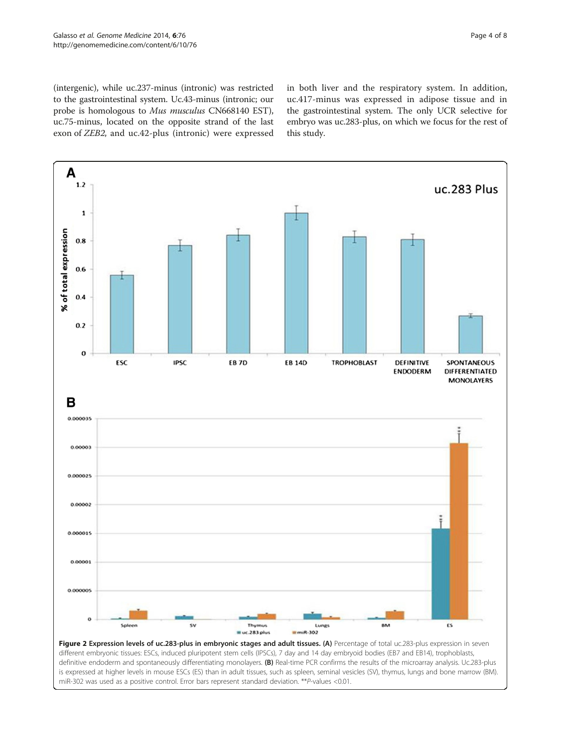<span id="page-3-0"></span>(intergenic), while uc.237-minus (intronic) was restricted to the gastrointestinal system. Uc.43-minus (intronic; our probe is homologous to Mus musculus CN668140 EST), uc.75-minus, located on the opposite strand of the last exon of ZEB2, and uc.42-plus (intronic) were expressed in both liver and the respiratory system. In addition, uc.417-minus was expressed in adipose tissue and in the gastrointestinal system. The only UCR selective for embryo was uc.283-plus, on which we focus for the rest of this study.



different embryonic tissues: ESCs, induced pluripotent stem cells (IPSCs), 7 day and 14 day embryoid bodies (EB7 and EB14), trophoblasts, definitive endoderm and spontaneously differentiating monolayers. (B) Real-time PCR confirms the results of the microarray analysis. Uc.283-plus is expressed at higher levels in mouse ESCs (ES) than in adult tissues, such as spleen, seminal vesicles (SV), thymus, lungs and bone marrow (BM). miR-302 was used as a positive control. Error bars represent standard deviation. \*\*P-values <0.01.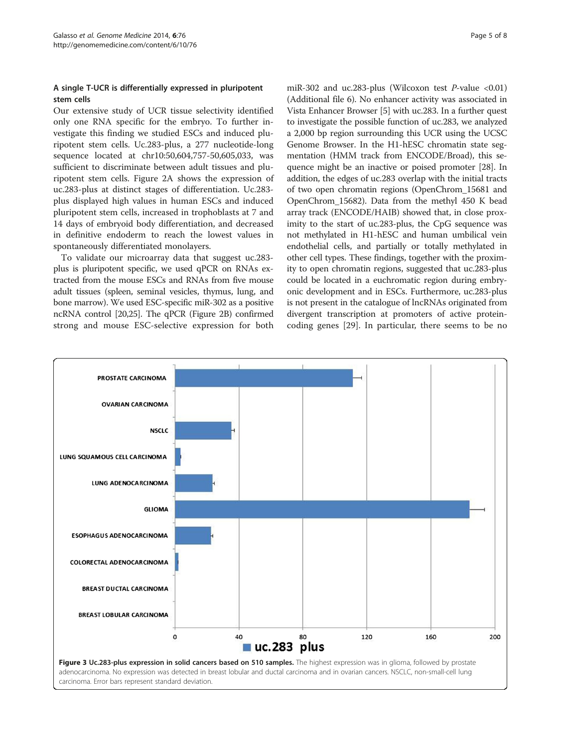## <span id="page-4-0"></span>A single T-UCR is differentially expressed in pluripotent stem cells

Our extensive study of UCR tissue selectivity identified only one RNA specific for the embryo. To further investigate this finding we studied ESCs and induced pluripotent stem cells. Uc.283-plus, a 277 nucleotide-long sequence located at chr10:50,604,757-50,605,033, was sufficient to discriminate between adult tissues and pluripotent stem cells. Figure [2](#page-3-0)A shows the expression of uc.283-plus at distinct stages of differentiation. Uc.283 plus displayed high values in human ESCs and induced pluripotent stem cells, increased in trophoblasts at 7 and 14 days of embryoid body differentiation, and decreased in definitive endoderm to reach the lowest values in spontaneously differentiated monolayers.

To validate our microarray data that suggest uc.283 plus is pluripotent specific, we used qPCR on RNAs extracted from the mouse ESCs and RNAs from five mouse adult tissues (spleen, seminal vesicles, thymus, lung, and bone marrow). We used ESC-specific miR-302 as a positive ncRNA control [\[20,25](#page-6-0)]. The qPCR (Figure [2](#page-3-0)B) confirmed strong and mouse ESC-selective expression for both

miR-302 and uc.283-plus (Wilcoxon test  $P$ -value <0.01) (Additional file [6](#page-5-0)). No enhancer activity was associated in Vista Enhancer Browser [[5](#page-6-0)] with uc.283. In a further quest to investigate the possible function of uc.283, we analyzed a 2,000 bp region surrounding this UCR using the UCSC Genome Browser. In the H1-hESC chromatin state segmentation (HMM track from ENCODE/Broad), this sequence might be an inactive or poised promoter [\[28](#page-6-0)]. In addition, the edges of uc.283 overlap with the initial tracts of two open chromatin regions (OpenChrom\_15681 and OpenChrom\_15682). Data from the methyl 450 K bead array track (ENCODE/HAIB) showed that, in close proximity to the start of uc.283-plus, the CpG sequence was not methylated in H1-hESC and human umbilical vein endothelial cells, and partially or totally methylated in other cell types. These findings, together with the proximity to open chromatin regions, suggested that uc.283-plus could be located in a euchromatic region during embryonic development and in ESCs. Furthermore, uc.283-plus is not present in the catalogue of lncRNAs originated from divergent transcription at promoters of active proteincoding genes [[29\]](#page-6-0). In particular, there seems to be no

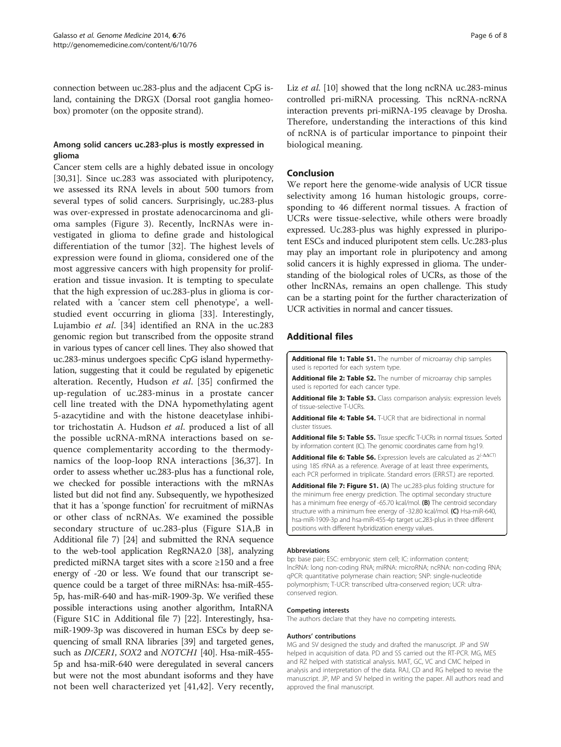<span id="page-5-0"></span>connection between uc.283-plus and the adjacent CpG island, containing the DRGX (Dorsal root ganglia homeobox) promoter (on the opposite strand).

## Among solid cancers uc.283-plus is mostly expressed in glioma

Cancer stem cells are a highly debated issue in oncology [[30,31\]](#page-6-0). Since uc.283 was associated with pluripotency, we assessed its RNA levels in about 500 tumors from several types of solid cancers. Surprisingly, uc.283-plus was over-expressed in prostate adenocarcinoma and glioma samples (Figure [3\)](#page-4-0). Recently, lncRNAs were investigated in glioma to define grade and histological differentiation of the tumor [[32](#page-6-0)]. The highest levels of expression were found in glioma, considered one of the most aggressive cancers with high propensity for proliferation and tissue invasion. It is tempting to speculate that the high expression of uc.283-plus in glioma is correlated with a 'cancer stem cell phenotype', a wellstudied event occurring in glioma [\[33](#page-6-0)]. Interestingly, Lujambio et al. [\[34](#page-7-0)] identified an RNA in the uc.283 genomic region but transcribed from the opposite strand in various types of cancer cell lines. They also showed that uc.283-minus undergoes specific CpG island hypermethylation, suggesting that it could be regulated by epigenetic alteration. Recently, Hudson et al. [[35\]](#page-7-0) confirmed the up-regulation of uc.283-minus in a prostate cancer cell line treated with the DNA hypomethylating agent 5-azacytidine and with the histone deacetylase inhibitor trichostatin A. Hudson et al. produced a list of all the possible ucRNA-mRNA interactions based on sequence complementarity according to the thermodynamics of the loop-loop RNA interactions [\[36](#page-7-0),[37\]](#page-7-0). In order to assess whether uc.283-plus has a functional role, we checked for possible interactions with the mRNAs listed but did not find any. Subsequently, we hypothesized that it has a 'sponge function' for recruitment of miRNAs or other class of ncRNAs. We examined the possible secondary structure of uc.283-plus (Figure S1A,B in Additional file 7) [[24](#page-6-0)] and submitted the RNA sequence to the web-tool application RegRNA2.0 [\[38\]](#page-7-0), analyzing predicted miRNA target sites with a score ≥150 and a free energy of -20 or less. We found that our transcript sequence could be a target of three miRNAs: hsa-miR-455- 5p, has-miR-640 and has-miR-1909-3p. We verified these possible interactions using another algorithm, IntaRNA (Figure S1C in Additional file 7) [\[22\]](#page-6-0). Interestingly, hsamiR-1909-3p was discovered in human ESCs by deep sequencing of small RNA libraries [\[39\]](#page-7-0) and targeted genes, such as *DICER1*, SOX2 and *NOTCH1* [[40\]](#page-7-0). Hsa-miR-455-5p and hsa-miR-640 were deregulated in several cancers but were not the most abundant isoforms and they have not been well characterized yet [[41,42](#page-7-0)]. Very recently, Liz et al. [[10](#page-6-0)] showed that the long ncRNA uc.283-minus controlled pri-miRNA processing. This ncRNA-ncRNA interaction prevents pri-miRNA-195 cleavage by Drosha. Therefore, understanding the interactions of this kind of ncRNA is of particular importance to pinpoint their biological meaning.

## Conclusion

We report here the genome-wide analysis of UCR tissue selectivity among 16 human histologic groups, corresponding to 46 different normal tissues. A fraction of UCRs were tissue-selective, while others were broadly expressed. Uc.283-plus was highly expressed in pluripotent ESCs and induced pluripotent stem cells. Uc.283-plus may play an important role in pluripotency and among solid cancers it is highly expressed in glioma. The understanding of the biological roles of UCRs, as those of the other lncRNAs, remains an open challenge. This study can be a starting point for the further characterization of UCR activities in normal and cancer tissues.

#### Additional files

| <b>Additional file 1: Table S1.</b> The number of microarray chip samples<br>used is reported for each system type.                                                                                                                                     |
|---------------------------------------------------------------------------------------------------------------------------------------------------------------------------------------------------------------------------------------------------------|
| <b>Additional file 2: Table S2.</b> The number of microarray chip samples<br>used is reported for each cancer type.                                                                                                                                     |
| <b>Additional file 3: Table S3.</b> Class comparison analysis: expression levels<br>of tissue-selective T-UCRs.                                                                                                                                         |
| <b>Additional file 4: Table S4.</b> T-UCR that are bidirectional in normal<br>cluster tissues.                                                                                                                                                          |
| <b>Additional file 5: Table S5.</b> Tissue specific T-UCRs in normal tissues. Sorted<br>by information content (IC). The genomic coordinates came from hg19.                                                                                            |
| <b>Additional file 6: Table S6.</b> Expression levels are calculated as $2^{(-\Delta\Delta\Box)}$<br>using 18S rRNA as a reference. Average of at least three experiments,<br>each PCR performed in triplicate. Standard errors (ERR.ST.) are reported. |
| <b>Additional file 7: Figure S1. (A)</b> The uc.283-plus folding structure for<br>the minimum free energy prediction. The optimal secondary structure                                                                                                   |

has a minimum free energy of -65.70 kcal/mol. (B) The centroid secondary structure with a minimum free energy of -32.80 kcal/mol. (C) Hsa-miR-640, hsa-miR-1909-3p and hsa-miR-455-4p target uc.283-plus in three different positions with different hybridization energy values.

#### Abbreviations

bp: base pair; ESC: embryonic stem cell; IC: information content; lncRNA: long non-coding RNA; miRNA: microRNA; ncRNA: non-coding RNA; qPCR: quantitative polymerase chain reaction; SNP: single-nucleotide polymorphism; T-UCR: transcribed ultra-conserved region; UCR: ultraconserved region.

#### Competing interests

The authors declare that they have no competing interests.

#### Authors' contributions

MG and SV designed the study and drafted the manuscript. JP and SW helped in acquisition of data. PD and SS carried out the RT-PCR. MG, MES and RZ helped with statistical analysis. MAT, GC, VC and CMC helped in analysis and interpretation of the data. RAJ, CD and RG helped to revise the manuscript. JP, MP and SV helped in writing the paper. All authors read and approved the final manuscript.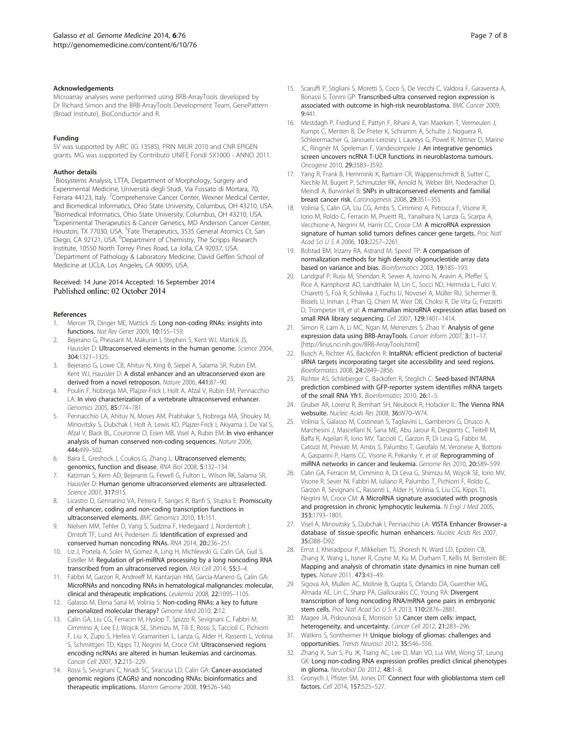#### <span id="page-6-0"></span>Acknowledgements

Microarray analyses were performed using BRB-ArrayTools developed by Dr Richard Simon and the BRB-ArrayTools Development Team, GenePattern (Broad Institute), BioConductor and R.

#### Funding

SV was supported by AIRC (IG 13585), PRIN MIUR 2010 and CNR EPIGEN grants. MG was supported by Contributo UNIFE Fondi 5X1000 - ANNO 2011.

#### Author details

<sup>1</sup> Biosystems Analysis, LTTA, Department of Morphology, Surgery and Experimental Medicine, Università degli Studi, Via Fossato di Mortara, 70, Ferrara 44123, Italy. <sup>2</sup> Comprehensive Cancer Center, Wexner Medical Center, and Biomedical Informatics, Ohio State University, Columbus, OH 43210, USA. <sup>3</sup>Biomedical Informatics, Ohio State University, Columbus, OH 43210, USA. 4 Experimental Therapeutics & Cancer Genetics, MD Anderson Cancer Center, Houston, TX 77030, USA. <sup>5</sup>Fate Therapeutics, 3535 General Atomics Ct, San Diego, CA 92121, USA. <sup>6</sup>Department of Chemistry, The Scripps Research Institute, 10550 North Torrey Pines Road, La Jolla, CA 92037, USA. <sup>7</sup>Department of Pathology & Laboratory Medicine, David Geffen School of Medicine at UCLA, Los Angeles, CA 90095, USA.

#### Received: 14 June 2014 Accepted: 16 September 2014 Published online: 02 October 2014

#### References

- 1. Mercer TR, Dinger ME, Mattick JS: Long non-coding RNAs: insights into functions. Nat Rev Genet 2009, 10:155–159.
- 2. Bejerano G, Pheasant M, Makunin I, Stephen S, Kent WJ, Mattick JS, Haussler D: Ultraconserved elements in the human genome. Science 2004, 304:1321–1325.
- 3. Bejerano G, Lowe CB, Ahituv N, King B, Siepel A, Salama SR, Rubin EM, Kent WJ, Haussler D: A distal enhancer and an ultraconserved exon are derived from a novel retroposon. Nature 2006, 441:87–90.
- 4. Poulin F, Nobrega MA, Plajzer-Frick I, Holt A, Afzal V, Rubin EM, Pennacchio LA: In vivo characterization of a vertebrate ultraconserved enhancer. Genomics 2005, 85:774–781.
- 5. Pennacchio LA, Ahituv N, Moses AM, Prabhakar S, Nobrega MA, Shoukry M, Minovitsky S, Dubchak I, Holt A, Lewis KD, Plajzer-Frick I, Akiyama J, De Val S, Afzal V, Black BL, Couronne O, Eisen MB, Visel A, Rubin EM: In vivo enhancer analysis of human conserved non-coding sequences. Nature 2006, 444:499–502.
- 6. Baira E, Greshock J, Coukos G, Zhang L: Ultraconserved elements: genomics, function and disease. RNA Biol 2008, 5:132–134.
- 7. Katzman S, Kern AD, Bejerano G, Fewell G, Fulton L, Wilson RK, Salama SR, Haussler D: Human genome ultraconserved elements are ultraselected. Science 2007, 317:915.
- 8. Licastro D, Gennarino VA, Petrera F, Sanges R, Banfi S, Stupka E: Promiscuity of enhancer, coding and non-coding transcription functions in ultraconserved elements. BMC Genomics 2010, 11:151.
- Nielsen MM, Tehler D, Vang S, Sudzina F, Hedegaard J, Nordentoft I, Orntoft TF, Lund AH, Pedersen JS: Identification of expressed and conserved human noncoding RNAs. RNA 2014, 20:236–251.
- 10. Liz J, Portela A, Soler M, Gomez A, Ling H, Michlewski G, Calin GA, Guil S, Esteller M: Regulation of pri-miRNA processing by a long noncoding RNA transcribed from an ultraconserved region. Mol Cell 2014, 55:3–4.
- 11. Fabbri M, Garzon R, Andreeff M, Kantarjian HM, Garcia-Manero G, Calin GA: MicroRNAs and noncoding RNAs in hematological malignancies: molecular, clinical and therapeutic implications. Leukemia 2008, 22:1095–1105.
- 12. Galasso M, Elena Sana M, Volinia S: Non-coding RNAs: a key to future personalized molecular therapy? Genome Med 2010, 2:12.
- 13. Calin GA, Liu CG, Ferracin M, Hyslop T, Spizzo R, Sevignani C, Fabbri M, Cimmino A, Lee EJ, Wojcik SE, Shimizu M, Tili E, Rossi S, Taccioli C, Pichiorri F, Liu X, Zupo S, Herlea V, Gramantieri L, Lanza G, Alder H, Rassenti L, Volinia S, Schmittgen TD, Kipps TJ, Negrini M, Croce CM: Ultraconserved regions encoding ncRNAs are altered in human leukemias and carcinomas. Cancer Cell 2007, 12:215–229.
- 14. Rossi S, Sevignani C, Nnadi SC, Siracusa LD, Calin GA: Cancer-associated genomic regions (CAGRs) and noncoding RNAs: bioinformatics and therapeutic implications. Mamm Genome 2008, 19:526–540.
- 15. Scaruffi P, Stigliani S, Moretti S, Coco S, De Vecchi C, Valdora F, Garaventa A, Bonassi S, Tonini GP: Transcribed-ultra conserved region expression is associated with outcome in high-risk neuroblastoma. BMC Cancer 2009, 9:441.
- 16. Mestdagh P, Fredlund E, Pattyn F, Rihani A, Van Maerken T, Vermeulen J, Kumps C, Menten B, De Preter K, Schramm A, Schulte J, Noguera R, Schleiermacher G, Janoueix-Lerosey I, Laureys G, Powel R, Nittner D, Marine JC, Ringnér M, Speleman F, Vandesompele J: An integrative genomics screen uncovers ncRNA T-UCR functions in neuroblastoma tumours. Oncogene 2010, 29:3583–3592.
- 17. Yang R, Frank B, Hemminki K, Bartram CR, Wappenschmidt B, Sutter C, Kiechle M, Bugert P, Schmutzler RK, Arnold N, Weber BH, Niederacher D, Meindl A, Burwinkel B: SNPs in ultraconserved elements and familial breast cancer risk. Carcinogenesis 2008, 29:351–355.
- 18. Volinia S, Calin GA, Liu CG, Ambs S, Cimmino A, Petrocca F, Visone R, Iorio M, Roldo C, Ferracin M, Prueitt RL, Yanaihara N, Lanza G, Scarpa A, Vecchione A, Negrini M, Harris CC, Croce CM: A microRNA expression signature of human solid tumors defines cancer gene targets. Proc Natl Acad Sci U S A 2006, 103:2257–2261.
- 19. Bolstad BM, Irizarry RA, Astrand M, Speed TP: A comparison of normalization methods for high density oligonucleotide array data based on variance and bias. Bioinformatics 2003, 19:185–193.
- 20. Landgraf P, Rusu M, Sheridan R, Sewer A, Iovino N, Aravin A, Pfeffer S, Rice A, Kamphorst AO, Landthaler M, Lin C, Socci ND, Hermida L, Fulci V, Chiaretti S, Foà R, Schliwka J, Fuchs U, Novosel A, Müller RU, Schermer B, Bissels U, Inman J, Phan Q, Chien M, Weir DB, Choksi R, De Vita G, Frezzetti D, Trompeter HI, et al: A mammalian microRNA expression atlas based on small RNA library sequencing. Cell 2007, 129:1401–1414.
- 21. Simon R, Lam A, Li MC, Ngan M, Menenzes S, Zhao Y: Analysis of gene expression data using BRB-ArrayTools. Cancer Inform 2007, 3:11–17. [[http://linus.nci.nih.gov/BRB-ArrayTools.html\]](http://linus.nci.nih.gov/BRB-ArrayTools.html)
- 22. Busch A, Richter AS, Backofen R: IntaRNA: efficient prediction of bacterial sRNA targets incorporating target site accessibility and seed regions. Bioinformatics 2008, 24:2849–2856.
- 23. Richter AS, Schleberger C, Backofen R, Steglich C: Seed-based INTARNA prediction combined with GFP-reporter system identifies mRNA targets of the small RNA Yfr1. Bioinformatics 2010, 26:1–5.
- 24. Gruber AR, Lorenz R, Bernhart SH, Neubock R, Hofacker IL: The Vienna RNA websuite. Nucleic Acids Res 2008, 36:W70-W74.
- 25. Volinia S, Galasso M, Costinean S, Tagliavini L, Gamberoni G, Drusco A, Marchesini J, Mascellani N, Sana ME, Abu Jarour R, Desponts C, Teitell M, Baffa R, Aqeilan R, Iorio MV, Taccioli C, Garzon R, Di Leva G, Fabbri M, Catozzi M, Previati M, Ambs S, Palumbo T, Garofalo M, Veronese A, Bottoni A, Gasparini P, Harris CC, Visone R, Pekarsky Y, et al: Reprogramming of miRNA networks in cancer and leukemia. Genome Res 2010, 20:589–599.
- 26. Calin GA, Ferracin M, Cimmino A, Di Leva G, Shimizu M, Wojcik SE, Iorio MV, Visone R, Sever NI, Fabbri M, Iuliano R, Palumbo T, Pichiorri F, Roldo C, Garzon R, Sevignani C, Rassenti L, Alder H, Volinia S, Liu CG, Kipps TJ, Negrini M, Croce CM: A MicroRNA signature associated with prognosis and progression in chronic lymphocytic leukemia. N Engl J Med 2005, 353:1793–1801.
- 27. Visel A, Minovitsky S, Dubchak I, Pennacchio LA: VISTA Enhancer Browser-a database of tissue-specific human enhancers. Nucleic Acids Res 2007, 35:D88–D92.
- 28. Ernst J, Kheradpour P, Mikkelsen TS, Shoresh N, Ward LD, Epstein CB, Zhang X, Wang L, Issner R, Coyne M, Ku M, Durham T, Kellis M, Bernstein BE: Mapping and analysis of chromatin state dynamics in nine human cell types. Nature 2011, 473:43–49.
- 29. Sigova AA, Mullen AC, Molinie B, Gupta S, Orlando DA, Guenther MG, Almada AE, Lin C, Sharp PA, Giallourakis CC, Young RA: Divergent transcription of long noncoding RNA/mRNA gene pairs in embryonic stem cells. Proc Natl Acad Sci U S A 2013, 110:2876–2881.
- 30. Magee JA, Piskounova E, Morrison SJ: Cancer stem cells: impact, heterogeneity, and uncertainty. Cancer Cell 2012, 21:283–296.
- 31. Watkins S, Sontheimer H: Unique biology of gliomas: challenges and opportunities. Trends Neurosci 2012, 35:546–556.
- 32. Zhang X, Sun S, Pu JK, Tsang AC, Lee D, Man VO, Lui WM, Wong ST, Leung GK: Long non-coding RNA expression profiles predict clinical phenotypes in glioma. Neurobiol Dis 2012, 48:1–8.
- 33. Gronych J, Pfister SM, Jones DT: Connect four with glioblastoma stem cell factors. Cell 2014, 157:525–527.